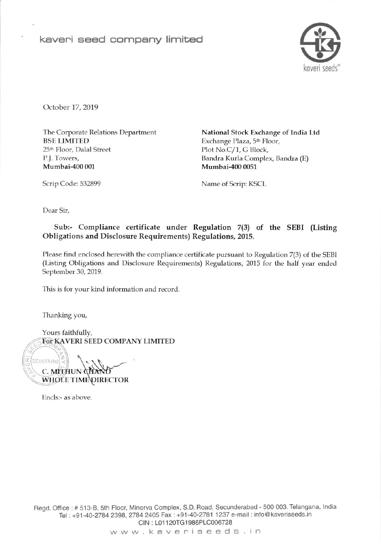keveni eeed company limited



October 17, 2019

The Corporate Relations Department BSE LIMITED 25<sup>th</sup> Floor, Dalal Street P.J. Towers, Mumbai-4oo 001

National Stock Exchange of India Ltd Exchange Plaza, 5<sup>th</sup> Floor, Plot No.C/1, G Block, Bandra Kurla Complex, Bandra (E) Mumbai-4oo 0051

Scrip Code: 532899 Name of Scrip: KSCL

Dear Sir,

## Sub:- Compliance certificate under Regulation 7(3) of the SEBI (Listing Obligations and Disclosure Requirements) Regulations, 2015.

Please find enclosed herewith the compliance certificate pursuant to Regulation 7(3) of the SEBI (Listing Obligations and Disclosure Requirements) Regulations, 2015 for the half year ended September 30, 2019.

This is for your kind information and record.

Thanking you,

Yours faithfully, For KAVERI SEED COMPANY LIMITED

z WHOLE TIME DIRECTOR SECUNDERABAD C. MITHUN QH

Encls:- as above.

Regd. Office : # 513-B, 5th Floor, Minerva Complex, S.D. Road, Secunderabad - 500 003. Telangana, India fel : +91-40-27A4 239A, 2784 2405 Fax : +91'40-2781 1237 e'mail : info@ kaveriseeds.in CIN : L01 120TG1986PLC006728

www kaveniseeds in